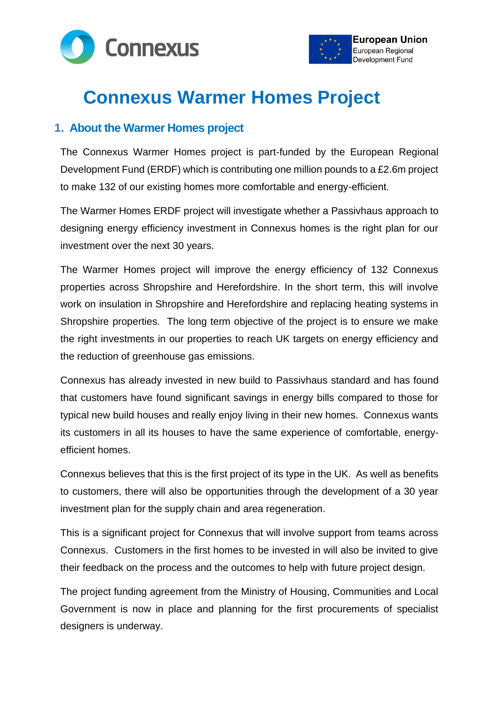



# **Connexus Warmer Homes Project**

## **1. About the Warmer Homes project**

The Connexus Warmer Homes project is part-funded by the European Regional Development Fund (ERDF) which is contributing one million pounds to a £2.6m project to make 132 of our existing homes more comfortable and energy-efficient.

The Warmer Homes ERDF project will investigate whether a Passivhaus approach to designing energy efficiency investment in Connexus homes is the right plan for our investment over the next 30 years.

The Warmer Homes project will improve the energy efficiency of 132 Connexus properties across Shropshire and Herefordshire. In the short term, this will involve work on insulation in Shropshire and Herefordshire and replacing heating systems in Shropshire properties. The long term objective of the project is to ensure we make the right investments in our properties to reach UK targets on energy efficiency and the reduction of greenhouse gas emissions.

Connexus has already invested in new build to Passivhaus standard and has found that customers have found significant savings in energy bills compared to those for typical new build houses and really enjoy living in their new homes. Connexus wants its customers in all its houses to have the same experience of comfortable, energyefficient homes.

Connexus believes that this is the first project of its type in the UK. As well as benefits to customers, there will also be opportunities through the development of a 30 year investment plan for the supply chain and area regeneration.

This is a significant project for Connexus that will involve support from teams across Connexus. Customers in the first homes to be invested in will also be invited to give their feedback on the process and the outcomes to help with future project design.

The project funding agreement from the Ministry of Housing, Communities and Local Government is now in place and planning for the first procurements of specialist designers is underway.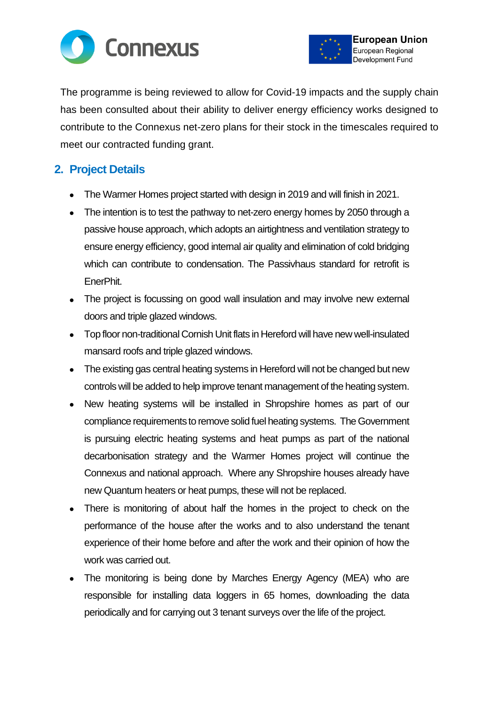



The programme is being reviewed to allow for Covid-19 impacts and the supply chain has been consulted about their ability to deliver energy efficiency works designed to contribute to the Connexus net-zero plans for their stock in the timescales required to meet our contracted funding grant.

# **2. Project Details**

- The Warmer Homes project started with design in 2019 and will finish in 2021.
- The intention is to test the pathway to net-zero energy homes by 2050 through a passive house approach, which adopts an airtightness and ventilation strategy to ensure energy efficiency, good internal air quality and elimination of cold bridging which can contribute to condensation. The Passivhaus standard for retrofit is EnerPhit.
- The project is focussing on good wall insulation and may involve new external doors and triple glazed windows.
- Top floor non-traditional Cornish Unit flats in Hereford will have new well-insulated mansard roofs and triple glazed windows.
- The existing gas central heating systems in Hereford will not be changed but new controls will be added to help improve tenant management of the heating system.
- New heating systems will be installed in Shropshire homes as part of our compliance requirements to remove solid fuel heating systems. The Government is pursuing electric heating systems and heat pumps as part of the national decarbonisation strategy and the Warmer Homes project will continue the Connexus and national approach. Where any Shropshire houses already have new Quantum heaters or heat pumps, these will not be replaced.
- There is monitoring of about half the homes in the project to check on the performance of the house after the works and to also understand the tenant experience of their home before and after the work and their opinion of how the work was carried out.
- The monitoring is being done by Marches Energy Agency (MEA) who are responsible for installing data loggers in 65 homes, downloading the data periodically and for carrying out 3 tenant surveys over the life of the project.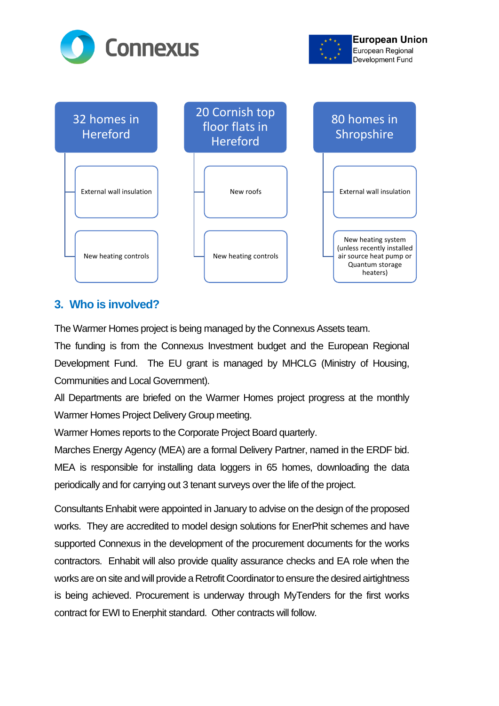





# **3. Who is involved?**

The Warmer Homes project is being managed by the Connexus Assets team.

The funding is from the Connexus Investment budget and the European Regional Development Fund. The EU grant is managed by MHCLG (Ministry of Housing, Communities and Local Government).

All Departments are briefed on the Warmer Homes project progress at the monthly Warmer Homes Project Delivery Group meeting.

Warmer Homes reports to the Corporate Project Board quarterly.

Marches Energy Agency (MEA) are a formal Delivery Partner, named in the ERDF bid. MEA is responsible for installing data loggers in 65 homes, downloading the data periodically and for carrying out 3 tenant surveys over the life of the project.

Consultants Enhabit were appointed in January to advise on the design of the proposed works. They are accredited to model design solutions for EnerPhit schemes and have supported Connexus in the development of the procurement documents for the works contractors. Enhabit will also provide quality assurance checks and EA role when the works are on site and will provide a Retrofit Coordinator to ensure the desired airtightness is being achieved. Procurement is underway through MyTenders for the first works contract for EWI to Enerphit standard. Other contracts will follow.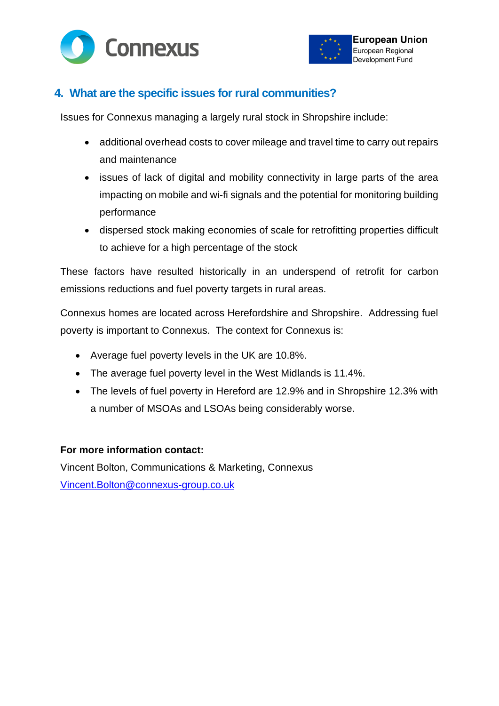



# **4. What are the specific issues for rural communities?**

Issues for Connexus managing a largely rural stock in Shropshire include:

- additional overhead costs to cover mileage and travel time to carry out repairs and maintenance
- issues of lack of digital and mobility connectivity in large parts of the area impacting on mobile and wi-fi signals and the potential for monitoring building performance
- dispersed stock making economies of scale for retrofitting properties difficult to achieve for a high percentage of the stock

These factors have resulted historically in an underspend of retrofit for carbon emissions reductions and fuel poverty targets in rural areas.

Connexus homes are located across Herefordshire and Shropshire. Addressing fuel poverty is important to Connexus. The context for Connexus is:

- Average fuel poverty levels in the UK are 10.8%.
- The average fuel poverty level in the West Midlands is 11.4%.
- The levels of fuel poverty in Hereford are 12.9% and in Shropshire 12.3% with a number of MSOAs and LSOAs being considerably worse.

#### **For more information contact:**

Vincent Bolton, Communications & Marketing, Connexus [Vincent.Bolton@connexus-group.co.uk](mailto:Vincent.Bolton@connexus-group.co.uk)